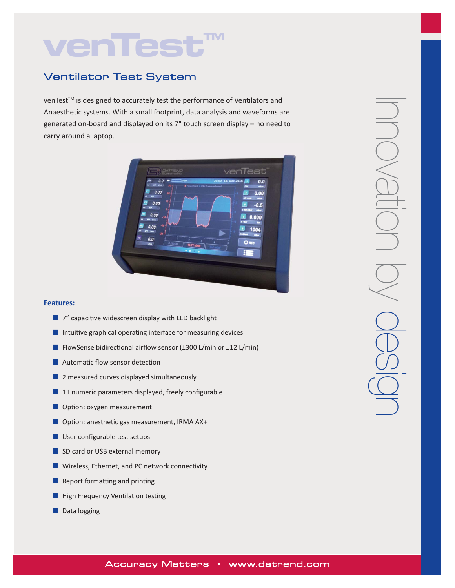# **venTest**

## Ventilator Test System

venTest™ is designed to accurately test the performance of Ventilators and Anaesthetic systems. With a small footprint, data analysis and waveforms are generated on‐board and displayed on its 7" touch screen display – no need to carry around a laptop.



- 7" capacitive widescreen display with LED backlight
- Intuitive graphical operating interface for measuring devices
- FlowSense bidirectional airflow sensor (±300 L/min or ±12 L/min)
- Automatic flow sensor detection
- 2 measured curves displayed simultaneously
- 11 numeric parameters displayed, freely configurable
- Option: oxygen measurement
- Option: anesthetic gas measurement, IRMA AX+
- User configurable test setups
- SD card or USB external memory
- Wireless, Ethernet, and PC network connectivity
- Report formatting and printing
- High Frequency Ventilation testing
- Data logging

## Accuracy Matters • www.datrend.com